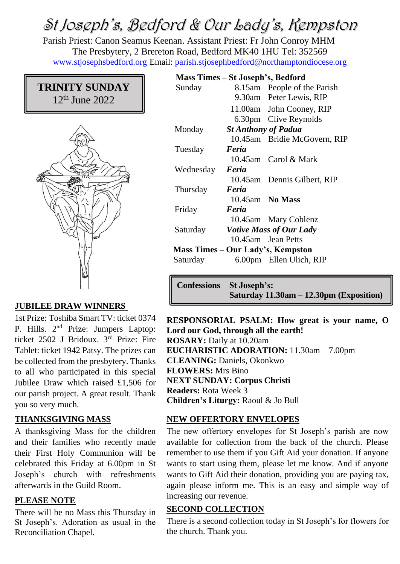# St Joseph's, Bedford & Our Lady's, Kempston

Parish Priest: Canon Seamus Keenan. Assistant Priest: Fr John Conroy MHM The Presbytery, 2 Brereton Road, Bedford MK40 1HU Tel: 352569 [www.stjosephsbedford.org](http://www.stjosephsbedford.org/) Email: [parish.stjosephbedford@northamptondiocese.org](mailto:parish.stjosephbedford@northamptondiocese.org)

## **TRINITY SUNDAY** 12th June 2022



## **JUBILEE DRAW WINNERS**

1st Prize: Toshiba Smart TV: ticket 0374 P. Hills. 2nd Prize: Jumpers Laptop: ticket 2502 J Bridoux. 3rd Prize: Fire Tablet: ticket 1942 Patsy. The prizes can be collected from the presbytery. Thanks to all who participated in this special Jubilee Draw which raised £1,506 for our parish project. A great result. Thank you so very much.

#### **THANKSGIVING MASS**

A thanksgiving Mass for the children and their families who recently made their First Holy Communion will be celebrated this Friday at 6.00pm in St Joseph's church with refreshments afterwards in the Guild Room.

#### **PLEASE NOTE**

There will be no Mass this Thursday in St Joseph's. Adoration as usual in the Reconciliation Chapel.

## **Mass Times – St Joseph's, Bedford**

| Sunday                            |                                | 8.15am People of the Parish  |
|-----------------------------------|--------------------------------|------------------------------|
|                                   |                                | 9.30am Peter Lewis, RIP      |
|                                   |                                | 11.00am John Cooney, RIP     |
|                                   |                                | 6.30pm Clive Reynolds        |
| Monday                            | <b>St Anthony of Padua</b>     |                              |
|                                   |                                | 10.45am Bridie McGovern, RIP |
| Tuesday                           | Feria                          |                              |
|                                   |                                | 10.45am Carol & Mark         |
| Wednesday                         | Feria                          |                              |
|                                   |                                | 10.45am Dennis Gilbert, RIP  |
| Thursday                          | Feria                          |                              |
|                                   |                                | $10.45$ am No Mass           |
| Friday                            | Feria                          |                              |
|                                   |                                | 10.45am Mary Coblenz         |
| Saturday                          | <b>Votive Mass of Our Lady</b> |                              |
|                                   |                                | 10.45am Jean Petts           |
| Mass Times – Our Lady's, Kempston |                                |                              |
| Saturday                          |                                | 6.00pm Ellen Ulich, RIP      |

**Confessions** – **St Joseph's: Saturday 11.30am – 12.30pm (Exposition)**

**RESPONSORIAL PSALM: How great is your name, O Lord our God, through all the earth! ROSARY:** Daily at 10.20am **EUCHARISTIC ADORATION:** 11.30am – 7.00pm **CLEANING:** Daniels, Okonkwo **FLOWERS:** Mrs Bino **NEXT SUNDAY: Corpus Christi Readers:** Rota Week 3 **Children's Liturgy:** Raoul & Jo Bull

#### **NEW OFFERTORY ENVELOPES**

The new offertory envelopes for St Joseph's parish are now available for collection from the back of the church. Please remember to use them if you Gift Aid your donation. If anyone wants to start using them, please let me know. And if anyone wants to Gift Aid their donation, providing you are paying tax, again please inform me. This is an easy and simple way of increasing our revenue.

#### **SECOND COLLECTION**

There is a second collection today in St Joseph's for flowers for the church. Thank you.